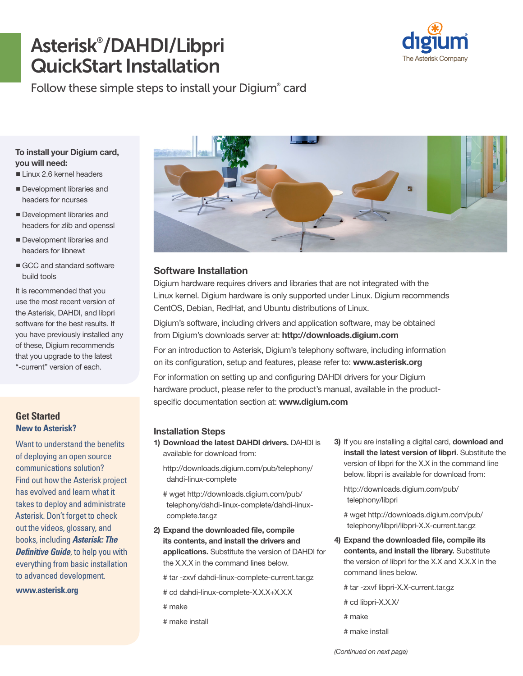# Asterisk® /DAHDI/Libpri QuickStart Installation



Follow these simple steps to install your Digium® card

#### **To install your Digium card, you will need:**

- $\blacksquare$  Linux 2.6 kernel headers
- Development libraries and headers for ncurses
- Development libraries and headers for zlib and openssl
- **n**Development libraries and headers for libnewt
- GCC and standard software build tools

It is recommended that you use the most recent version of the Asterisk, DAHDI, and libpri software for the best results. If you have previously installed any of these, Digium recommends that you upgrade to the latest "-current" version of each.

## **Get Started New to Asterisk?**

Want to understand the benefits of deploying an open source communications solution? Find out how the Asterisk project has evolved and learn what it takes to deploy and administrate Asterisk. Don't forget to check out the videos, glossary, and books, including *Asterisk: The Definitive Guide*, to help you with everything from basic installation to advanced development.

**<www.asterisk.org>**



# **Software Installation**

Digium hardware requires drivers and libraries that are not integrated with the Linux kernel. Digium hardware is only supported under Linux. Digium recommends CentOS, Debian, RedHat, and Ubuntu distributions of Linux.

Digium's software, including drivers and application software, may be obtained from Digium's downloads server at: **<http://downloads.digium.com>**

For an introduction to Asterisk, Digium's telephony software, including information on its configuration, setup and features, please refer to: **<www.asterisk.org>** For information on setting up and configuring DAHDI drivers for your Digium hardware product, please refer to the product's manual, available in the productspecific documentation section at: **<www.digium.com>**

#### **Installation Steps**

**1) Download the latest DAHDI drivers.** DAHDI is available for download from:

[http://downloads.digium.com/pub/telephony/](http://downloads.digium.com/pub/telephony/dahdi-linux-complete) dahdi-linux-complete

# wget http://downloads.digium.com/pub/ [telephony/dahdi-linux-complete/dahdi-linux](# wget http://downloads.digium.com/pub/telephony/dahdi-linux-complete/dahdi-linux-complete.tar.gz)complete.tar.gz

**2) Expand the downloaded file, compile its contents, and install the drivers and applications.** Substitute the version of DAHDI for the X.X.X in the command lines below.

# tar -zxvf dahdi-linux-complete-current.tar.gz

- # cd dahdi-linux-complete-X.X.X+X.X.X
- # make
- # make install

**3)** If you are installing a digital card, **download and install the latest version of libpri**. Substitute the version of libpri for the X.X in the command line below. libpri is available for download from:

[http://downloads.digium.com/pub/](http://downloads.digium.com/pub/telephony/libpri)  telephony/libpri

[# wget http://downloads.digium.com/pub/](http://downloads.digium.com/pub/telephony/libpri/libpri-X.X-current.tar.gz)  telephony/libpri/libpri-X.X-current.tar.gz

**4) Expand the downloaded file, compile its contents, and install the library.** Substitute the version of libpri for the X.X and X.X.X in the command lines below.

# tar -zxvf libpri-X.X-current.tar.gz

# cd libpri-X.X.X/

# make

# make install

*(Continued on next page)*